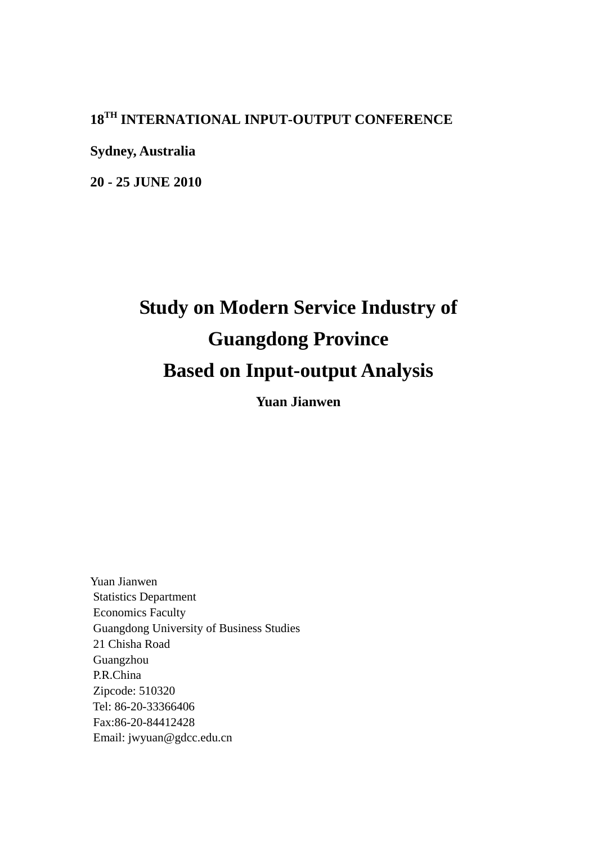## **18TH INTERNATIONAL INPUT-OUTPUT CONFERENCE**

**Sydney, Australia**

**20 - 25 JUNE 2010**

# **Study on Modern Service Industry of Guangdong Province Based on Input-output Analysis**

**Yuan Jianwen** 

Yuan Jianwen Statistics Department Economics Faculty Guangdong University of Business Studies 21 Chisha Road Guangzhou P.R.China Zipcode: 510320 Tel: 86-20-33366406 Fax:86-20-84412428 Email: jwyuan@gdcc.edu.cn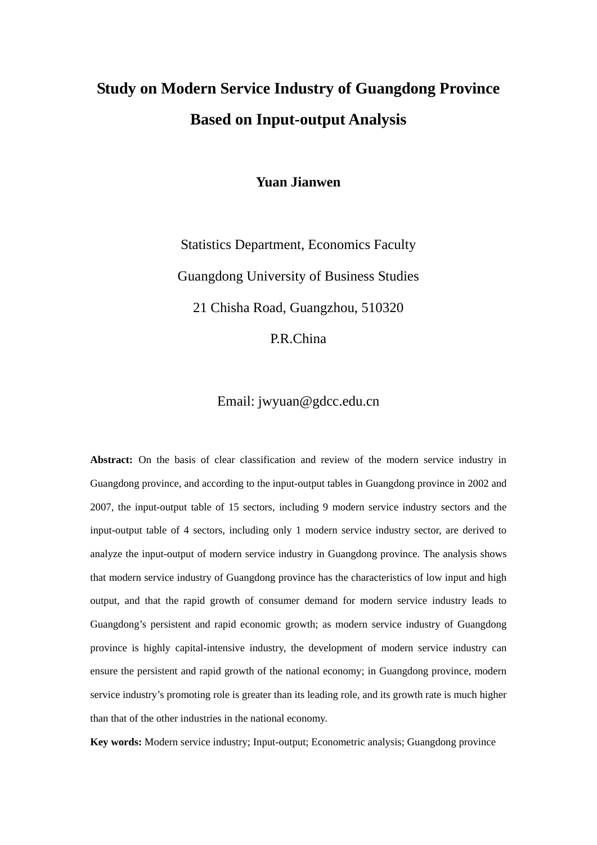## **Study on Modern Service Industry of Guangdong Province Based on Input-output Analysis**

**Yuan Jianwen** 

Statistics Department, Economics Faculty Guangdong University of Business Studies 21 Chisha Road, Guangzhou, 510320 P.R.China

Email: jwyuan@gdcc.edu.cn

**Abstract:** On the basis of clear classification and review of the modern service industry in Guangdong province, and according to the input-output tables in Guangdong province in 2002 and 2007, the input-output table of 15 sectors, including 9 modern service industry sectors and the input-output table of 4 sectors, including only 1 modern service industry sector, are derived to analyze the input-output of modern service industry in Guangdong province. The analysis shows that modern service industry of Guangdong province has the characteristics of low input and high output, and that the rapid growth of consumer demand for modern service industry leads to Guangdong's persistent and rapid economic growth; as modern service industry of Guangdong province is highly capital-intensive industry, the development of modern service industry can ensure the persistent and rapid growth of the national economy; in Guangdong province, modern service industry's promoting role is greater than its leading role, and its growth rate is much higher than that of the other industries in the national economy.

**Key words:** Modern service industry; Input-output; Econometric analysis; Guangdong province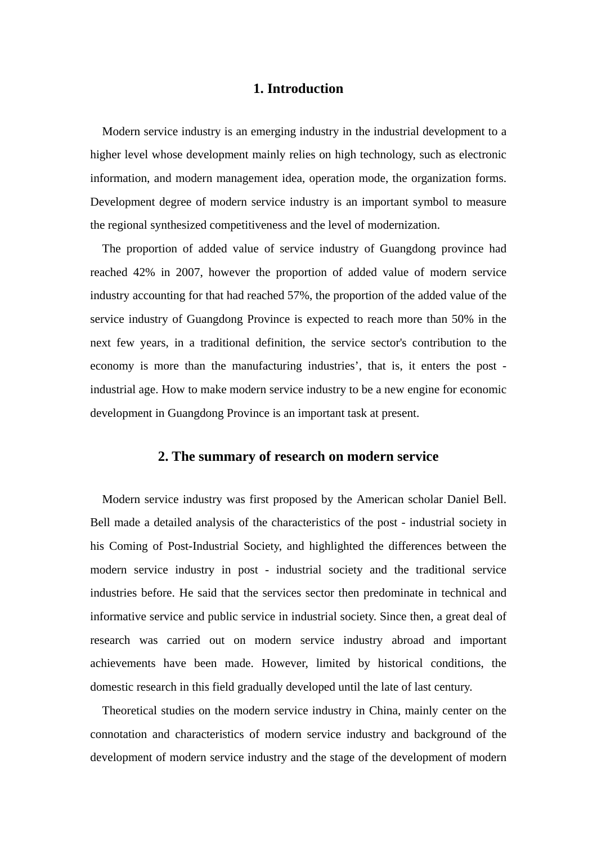## **1. Introduction**

Modern service industry is an emerging industry in the industrial development to a higher level whose development mainly relies on high technology, such as electronic information, and modern management idea, operation mode, the organization forms. Development degree of modern service industry is an important symbol to measure the regional synthesized competitiveness and the level of modernization.

The proportion of added value of service industry of Guangdong province had reached 42% in 2007, however the proportion of added value of modern service industry accounting for that had reached 57%, the proportion of the added value of the service industry of Guangdong Province is expected to reach more than 50% in the next few years, in a traditional definition, the service sector's contribution to the economy is more than the manufacturing industries', that is, it enters the post industrial age. How to make modern service industry to be a new engine for economic development in Guangdong Province is an important task at present.

### **2. The summary of research on modern service**

Modern service industry was first proposed by the American scholar Daniel Bell. Bell made a detailed analysis of the characteristics of the post - industrial society in his Coming of Post-Industrial Society, and highlighted the differences between the modern service industry in post - industrial society and the traditional service industries before. He said that the services sector then predominate in technical and informative service and public service in industrial society. Since then, a great deal of research was carried out on modern service industry abroad and important achievements have been made. However, limited by historical conditions, the domestic research in this field gradually developed until the late of last century.

Theoretical studies on the modern service industry in China, mainly center on the connotation and characteristics of modern service industry and background of the development of modern service industry and the stage of the development of modern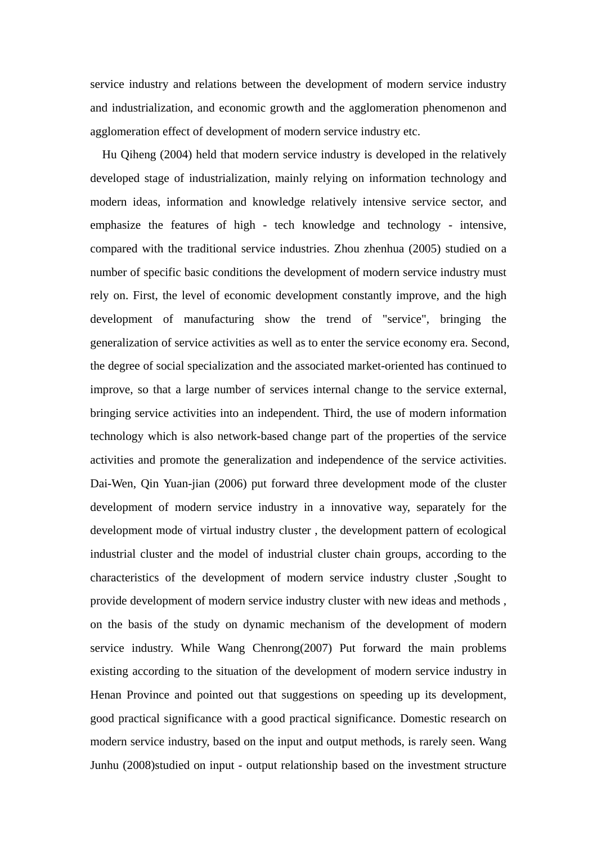service industry and relations between the development of modern service industry and industrialization, and economic growth and the agglomeration phenomenon and agglomeration effect of development of modern service industry etc.

Hu Qiheng (2004) held that modern service industry is developed in the relatively developed stage of industrialization, mainly relying on information technology and modern ideas, information and knowledge relatively intensive service sector, and emphasize the features of high - tech knowledge and technology - intensive, compared with the traditional service industries. Zhou zhenhua (2005) studied on a number of specific basic conditions the development of modern service industry must rely on. First, the level of economic development constantly improve, and the high development of manufacturing show the trend of "service", bringing the generalization of service activities as well as to enter the service economy era. Second, the degree of social specialization and the associated market-oriented has continued to improve, so that a large number of services internal change to the service external, bringing service activities into an independent. Third, the use of modern information technology which is also network-based change part of the properties of the service activities and promote the generalization and independence of the service activities. Dai-Wen, Qin Yuan-jian (2006) put forward three development mode of the cluster development of modern service industry in a innovative way, separately for the development mode of virtual industry cluster , the development pattern of ecological industrial cluster and the model of industrial cluster chain groups, according to the characteristics of the development of modern service industry cluster ,Sought to provide development of modern service industry cluster with new ideas and methods , on the basis of the study on dynamic mechanism of the development of modern service industry. While Wang Chenrong(2007) Put forward the main problems existing according to the situation of the development of modern service industry in Henan Province and pointed out that suggestions on speeding up its development, good practical significance with a good practical significance. Domestic research on modern service industry, based on the input and output methods, is rarely seen. Wang Junhu (2008)studied on input - output relationship based on the investment structure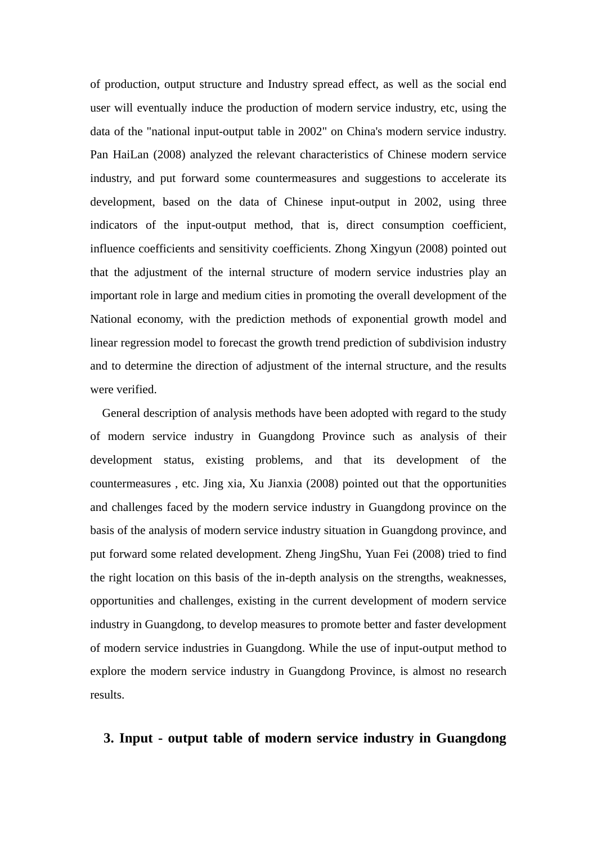of production, output structure and Industry spread effect, as well as the social end user will eventually induce the production of modern service industry, etc, using the data of the "national input-output table in 2002" on China's modern service industry. Pan HaiLan (2008) analyzed the relevant characteristics of Chinese modern service industry, and put forward some countermeasures and suggestions to accelerate its development, based on the data of Chinese input-output in 2002, using three indicators of the input-output method, that is, direct consumption coefficient, influence coefficients and sensitivity coefficients. Zhong Xingyun (2008) pointed out that the adjustment of the internal structure of modern service industries play an important role in large and medium cities in promoting the overall development of the National economy, with the prediction methods of exponential growth model and linear regression model to forecast the growth trend prediction of subdivision industry and to determine the direction of adjustment of the internal structure, and the results were verified.

General description of analysis methods have been adopted with regard to the study of modern service industry in Guangdong Province such as analysis of their development status, existing problems, and that its development of the countermeasures , etc. Jing xia, Xu Jianxia (2008) pointed out that the opportunities and challenges faced by the modern service industry in Guangdong province on the basis of the analysis of modern service industry situation in Guangdong province, and put forward some related development. Zheng JingShu, Yuan Fei (2008) tried to find the right location on this basis of the in-depth analysis on the strengths, weaknesses, opportunities and challenges, existing in the current development of modern service industry in Guangdong, to develop measures to promote better and faster development of modern service industries in Guangdong. While the use of input-output method to explore the modern service industry in Guangdong Province, is almost no research results.

## **3. Input - output table of modern service industry in Guangdong**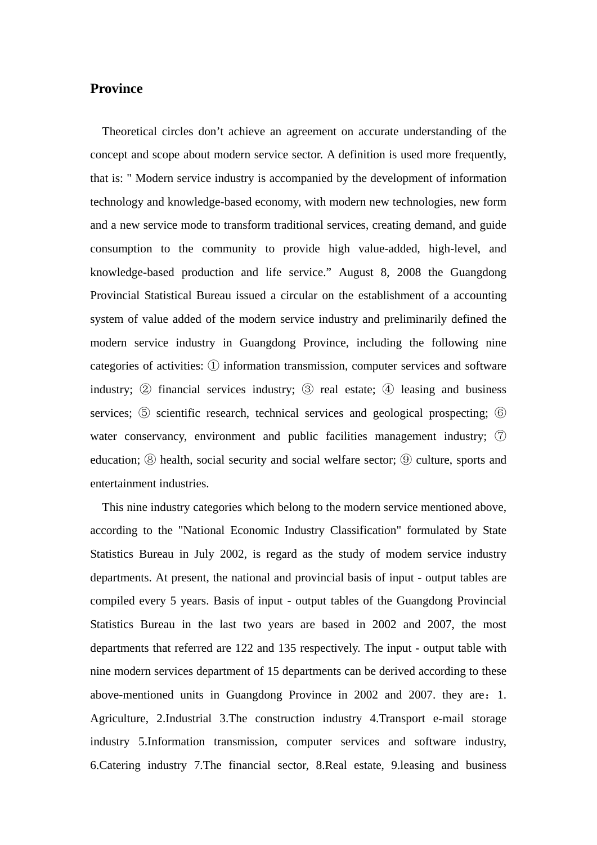### **Province**

Theoretical circles don't achieve an agreement on accurate understanding of the concept and scope about modern service sector. A definition is used more frequently, that is: " Modern service industry is accompanied by the development of information technology and knowledge-based economy, with modern new technologies, new form and a new service mode to transform traditional services, creating demand, and guide consumption to the community to provide high value-added, high-level, and knowledge-based production and life service." August 8, 2008 the Guangdong Provincial Statistical Bureau issued a circular on the establishment of a accounting system of value added of the modern service industry and preliminarily defined the modern service industry in Guangdong Province, including the following nine categories of activities:  $\Omega$  information transmission, computer services and software industry;  $\circled{2}$  financial services industry;  $\circled{3}$  real estate;  $\circled{4}$  leasing and business services;  $\odot$  scientific research, technical services and geological prospecting;  $\odot$ water conservancy, environment and public facilities management industry;  $\circled{7}$ education;  $\circledcirc$  health, social security and social welfare sector;  $\circledcirc$  culture, sports and entertainment industries.

This nine industry categories which belong to the modern service mentioned above, according to the "National Economic Industry Classification" formulated by State Statistics Bureau in July 2002, is regard as the study of modem service industry departments. At present, the national and provincial basis of input - output tables are compiled every 5 years. Basis of input - output tables of the Guangdong Provincial Statistics Bureau in the last two years are based in 2002 and 2007, the most departments that referred are 122 and 135 respectively. The input - output table with nine modern services department of 15 departments can be derived according to these above-mentioned units in Guangdong Province in 2002 and 2007. they are:1. Agriculture, 2.Industrial 3.The construction industry 4.Transport e-mail storage industry 5.Information transmission, computer services and software industry, 6.Catering industry 7.The financial sector, 8.Real estate, 9.leasing and business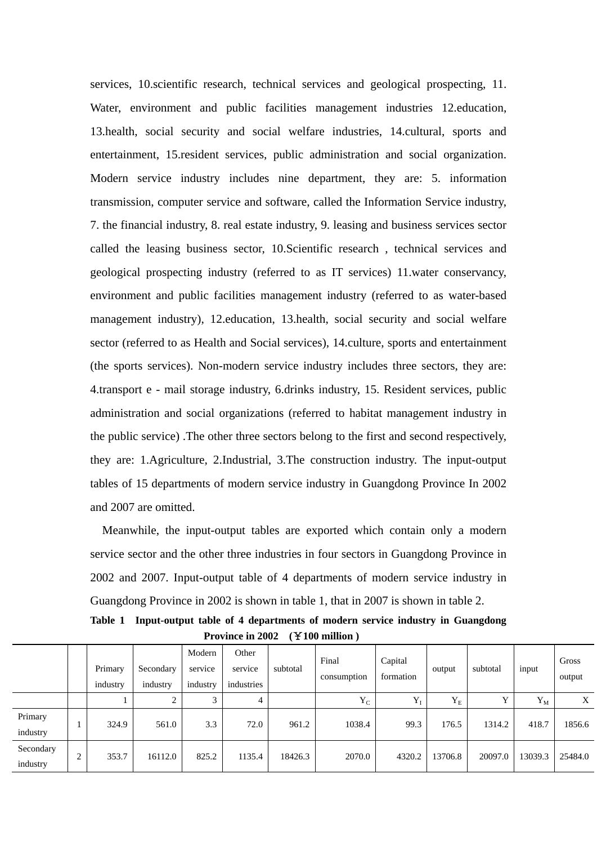services, 10.scientific research, technical services and geological prospecting, 11. Water, environment and public facilities management industries 12. education, 13.health, social security and social welfare industries, 14.cultural, sports and entertainment, 15.resident services, public administration and social organization. Modern service industry includes nine department, they are: 5. information transmission, computer service and software, called the Information Service industry, 7. the financial industry, 8. real estate industry, 9. leasing and business services sector called the leasing business sector, 10.Scientific research , technical services and geological prospecting industry (referred to as IT services) 11.water conservancy, environment and public facilities management industry (referred to as water-based management industry), 12.education, 13.health, social security and social welfare sector (referred to as Health and Social services), 14.culture, sports and entertainment (the sports services). Non-modern service industry includes three sectors, they are: 4.transport e - mail storage industry, 6.drinks industry, 15. Resident services, public administration and social organizations (referred to habitat management industry in the public service) .The other three sectors belong to the first and second respectively, they are: 1.Agriculture, 2.Industrial, 3.The construction industry. The input-output tables of 15 departments of modern service industry in Guangdong Province In 2002 and 2007 are omitted.

Meanwhile, the input-output tables are exported which contain only a modern service sector and the other three industries in four sectors in Guangdong Province in 2002 and 2007. Input-output table of 4 departments of modern service industry in Guangdong Province in 2002 is shown in table 1, that in 2007 is shown in table 2.

**Table 1 Input-output table of 4 departments of modern service industry in Guangdong Province in 2002 (**¥**100 million )** 

|                       | Primary<br>industry | Secondary<br>industry | Modern<br>service<br>industry | Other<br>service<br>industries | subtotal | Final<br>consumption | Capital<br>formation | output  | subtotal | input   | Gross<br>output |
|-----------------------|---------------------|-----------------------|-------------------------------|--------------------------------|----------|----------------------|----------------------|---------|----------|---------|-----------------|
|                       |                     | ◠                     | 3                             | 4                              |          | $Y_C$                | $Y_I$                | $Y_{E}$ |          | $Y_M$   | X               |
| Primary<br>industry   | 324.9               | 561.0                 | 3.3                           | 72.0                           | 961.2    | 1038.4               | 99.3                 | 176.5   | 1314.2   | 418.7   | 1856.6          |
| Secondary<br>industry | 353.7               | 16112.0               | 825.2                         | 1135.4                         | 18426.3  | 2070.0               | 4320.2               | 13706.8 | 20097.0  | 13039.3 | 25484.0         |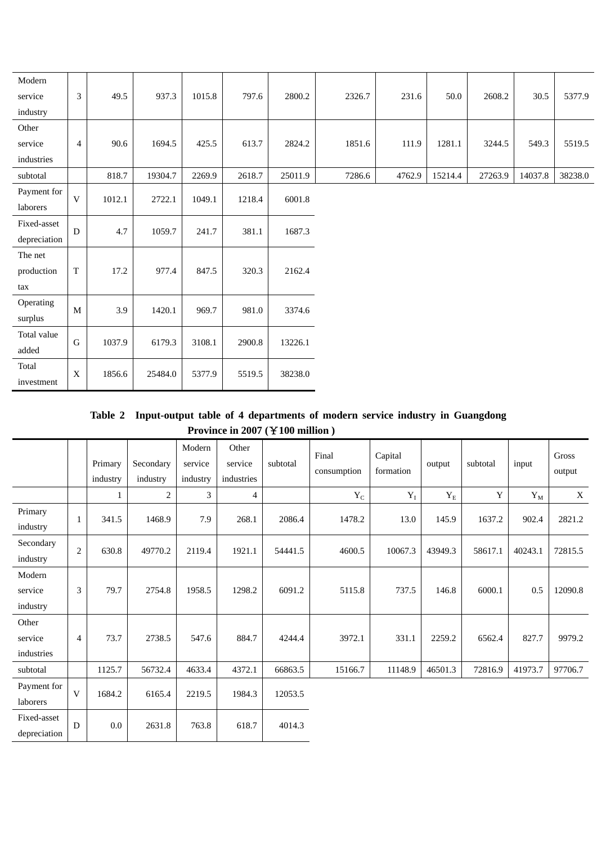| Modern       |                |        |         |        |        |         |        |        |         |         |         |         |
|--------------|----------------|--------|---------|--------|--------|---------|--------|--------|---------|---------|---------|---------|
| service      | 3              | 49.5   | 937.3   | 1015.8 | 797.6  | 2800.2  | 2326.7 | 231.6  | 50.0    | 2608.2  | 30.5    | 5377.9  |
| industry     |                |        |         |        |        |         |        |        |         |         |         |         |
| Other        |                |        |         |        |        |         |        |        |         |         |         |         |
| service      | $\overline{4}$ | 90.6   | 1694.5  | 425.5  | 613.7  | 2824.2  | 1851.6 | 111.9  | 1281.1  | 3244.5  | 549.3   | 5519.5  |
| industries   |                |        |         |        |        |         |        |        |         |         |         |         |
| subtotal     |                | 818.7  | 19304.7 | 2269.9 | 2618.7 | 25011.9 | 7286.6 | 4762.9 | 15214.4 | 27263.9 | 14037.8 | 38238.0 |
| Payment for  | $\mathbf V$    | 1012.1 | 2722.1  | 1049.1 | 1218.4 | 6001.8  |        |        |         |         |         |         |
| laborers     |                |        |         |        |        |         |        |        |         |         |         |         |
| Fixed-asset  | $\mathbf D$    | 4.7    | 1059.7  | 241.7  | 381.1  | 1687.3  |        |        |         |         |         |         |
| depreciation |                |        |         |        |        |         |        |        |         |         |         |         |
| The net      |                |        |         |        |        |         |        |        |         |         |         |         |
| production   | $\mathbf T$    | 17.2   | 977.4   | 847.5  | 320.3  | 2162.4  |        |        |         |         |         |         |
| tax          |                |        |         |        |        |         |        |        |         |         |         |         |
| Operating    | $\mathbf M$    | 3.9    | 1420.1  | 969.7  | 981.0  | 3374.6  |        |        |         |         |         |         |
| surplus      |                |        |         |        |        |         |        |        |         |         |         |         |
| Total value  | ${\bf G}$      | 1037.9 | 6179.3  | 3108.1 | 2900.8 | 13226.1 |        |        |         |         |         |         |
| added        |                |        |         |        |        |         |        |        |         |         |         |         |
| Total        | $\mathbf X$    | 1856.6 | 25484.0 | 5377.9 |        | 38238.0 |        |        |         |         |         |         |
| investment   |                |        |         |        | 5519.5 |         |        |        |         |         |         |         |

**Table 2 Input-output table of 4 departments of modern service industry in Guangdong Province in 2007 (**¥**100 million )** 

|                                |            | Primary<br>industry | Secondary<br>industry | Modern<br>service<br>industry | Other<br>service<br>industries | subtotal | Final<br>consumption | Capital<br>formation | output               | subtotal | input                 | Gross<br>output |
|--------------------------------|------------|---------------------|-----------------------|-------------------------------|--------------------------------|----------|----------------------|----------------------|----------------------|----------|-----------------------|-----------------|
|                                |            |                     | 2                     | 3                             | $\overline{4}$                 |          | $Y_C$                | $Y_I$                | $\mathbf{Y}_{\rm E}$ | Y        | $\mathbf{Y}_\text{M}$ | X               |
| Primary<br>industry            | 1          | 341.5               | 1468.9                | 7.9                           | 268.1                          | 2086.4   | 1478.2               | 13.0                 | 145.9                | 1637.2   | 902.4                 | 2821.2          |
| Secondary<br>industry          | $\sqrt{2}$ | 630.8               | 49770.2               | 2119.4                        | 1921.1                         | 54441.5  | 4600.5               | 10067.3              | 43949.3              | 58617.1  | 40243.1               | 72815.5         |
| Modern<br>service<br>industry  | 3          | 79.7                | 2754.8                | 1958.5                        | 1298.2                         | 6091.2   | 5115.8               | 737.5                | 146.8                | 6000.1   | 0.5                   | 12090.8         |
| Other<br>service<br>industries | 4          | 73.7                | 2738.5                | 547.6                         | 884.7                          | 4244.4   | 3972.1               | 331.1                | 2259.2               | 6562.4   | 827.7                 | 9979.2          |
| subtotal                       |            | 1125.7              | 56732.4               | 4633.4                        | 4372.1                         | 66863.5  | 15166.7              | 11148.9              | 46501.3              | 72816.9  | 41973.7               | 97706.7         |
| Payment for<br>laborers        | V          | 1684.2              | 6165.4                | 2219.5                        | 1984.3                         | 12053.5  |                      |                      |                      |          |                       |                 |
| Fixed-asset<br>depreciation    | D          | 0.0                 | 2631.8                | 763.8                         | 618.7                          | 4014.3   |                      |                      |                      |          |                       |                 |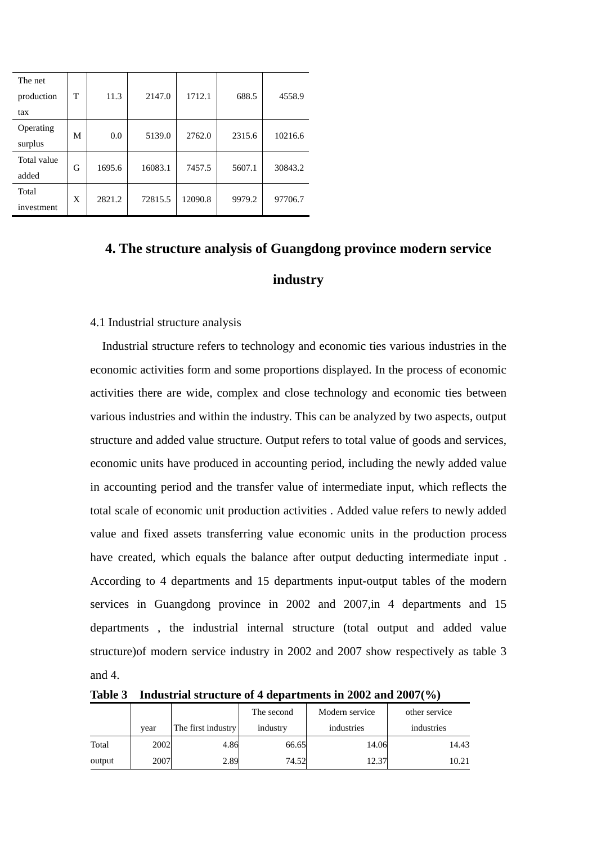| The net     |   |        |         |         |        |         |  |
|-------------|---|--------|---------|---------|--------|---------|--|
| production  | т | 11.3   | 2147.0  | 1712.1  | 688.5  | 4558.9  |  |
| tax         |   |        |         |         |        |         |  |
| Operating   | M | 0.0    | 5139.0  | 2762.0  | 2315.6 | 10216.6 |  |
| surplus     |   |        |         |         |        |         |  |
| Total value | G | 1695.6 | 16083.1 | 7457.5  | 5607.1 | 30843.2 |  |
| added       |   |        |         |         |        |         |  |
| Total       | X |        |         | 12090.8 |        |         |  |
| investment  |   | 2821.2 | 72815.5 |         | 9979.2 | 97706.7 |  |

## **4. The structure analysis of Guangdong province modern service industry**

#### 4.1 Industrial structure analysis

Industrial structure refers to technology and economic ties various industries in the economic activities form and some proportions displayed. In the process of economic activities there are wide, complex and close technology and economic ties between various industries and within the industry. This can be analyzed by two aspects, output structure and added value structure. Output refers to total value of goods and services, economic units have produced in accounting period, including the newly added value in accounting period and the transfer value of intermediate input, which reflects the total scale of economic unit production activities . Added value refers to newly added value and fixed assets transferring value economic units in the production process have created, which equals the balance after output deducting intermediate input . According to 4 departments and 15 departments input-output tables of the modern services in Guangdong province in 2002 and 2007, in 4 departments and 15 departments , the industrial internal structure (total output and added value structure)of modern service industry in 2002 and 2007 show respectively as table 3 and 4.

**Table 3 Industrial structure of 4 departments in 2002 and 2007(%)** 

|        |      |                    | The second | Modern service | other service |
|--------|------|--------------------|------------|----------------|---------------|
|        | vear | The first industry | industry   | industries     | industries    |
| Total  | 2002 | 4.86               | 66.65      | 14.06          | 14.43         |
| output | 2007 | 2.89               | 74.52      | 12.37          | 10.21         |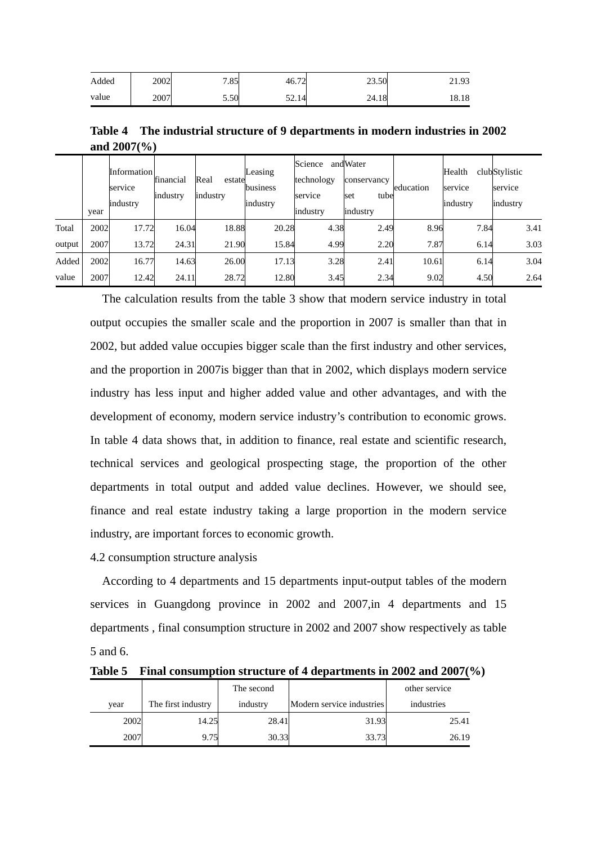| Added | 2002 | 7.85 | 46.72 | 23.50 | 21.93 |
|-------|------|------|-------|-------|-------|
| value | 2007 | 5.50 | 52.14 | 24.18 | 18.18 |

**Table 4 The industrial structure of 9 departments in modern industries in 2002 and 2007(%)** 

|        | year | Information<br>service<br>industry | financial<br>industry | Real<br>estate<br>industry | Leasing<br>business<br>industry | Science<br>technology<br>service<br>industry | andWater<br>conservancy<br>tube<br>set<br>industry | education | Health<br>service<br>industry | clubStylistic<br>service<br>industry |
|--------|------|------------------------------------|-----------------------|----------------------------|---------------------------------|----------------------------------------------|----------------------------------------------------|-----------|-------------------------------|--------------------------------------|
| Total  | 2002 | 17.72                              | 16.04                 | 18.88                      | 20.28                           | 4.38                                         | 2.49                                               | 8.96      | 7.84                          | 3.41                                 |
| output | 2007 | 13.72                              | 24.31                 | 21.90                      | 15.84                           | 4.99                                         | 2.20                                               | 7.87      | 6.14                          | 3.03                                 |
| Added  | 2002 | 16.77                              | 14.63                 | 26.00                      | 17.13                           | 3.28                                         | 2.41                                               | 10.61     | 6.14                          | 3.04                                 |
| value  | 2007 | 12.42                              | 24.11                 | 28.72                      | 12.80                           | 3.45                                         | 2.34                                               | 9.02      | 4.50                          | 2.64                                 |

The calculation results from the table 3 show that modern service industry in total output occupies the smaller scale and the proportion in 2007 is smaller than that in 2002, but added value occupies bigger scale than the first industry and other services, and the proportion in 2007is bigger than that in 2002, which displays modern service industry has less input and higher added value and other advantages, and with the development of economy, modern service industry's contribution to economic grows. In table 4 data shows that, in addition to finance, real estate and scientific research, technical services and geological prospecting stage, the proportion of the other departments in total output and added value declines. However, we should see, finance and real estate industry taking a large proportion in the modern service industry, are important forces to economic growth.

4.2 consumption structure analysis

According to 4 departments and 15 departments input-output tables of the modern services in Guangdong province in 2002 and 2007, in 4 departments and 15 departments , final consumption structure in 2002 and 2007 show respectively as table 5 and 6.

**Table 5 Final consumption structure of 4 departments in 2002 and 2007(%)** 

|      |                    | The second |                           | other service |
|------|--------------------|------------|---------------------------|---------------|
| vear | The first industry | industry   | Modern service industries | industries    |
| 2002 | 14.25              | 28.41      | 31.93                     | 25.41         |
| 2007 | 9.75               | 30.33      | 33.73                     | 26.19         |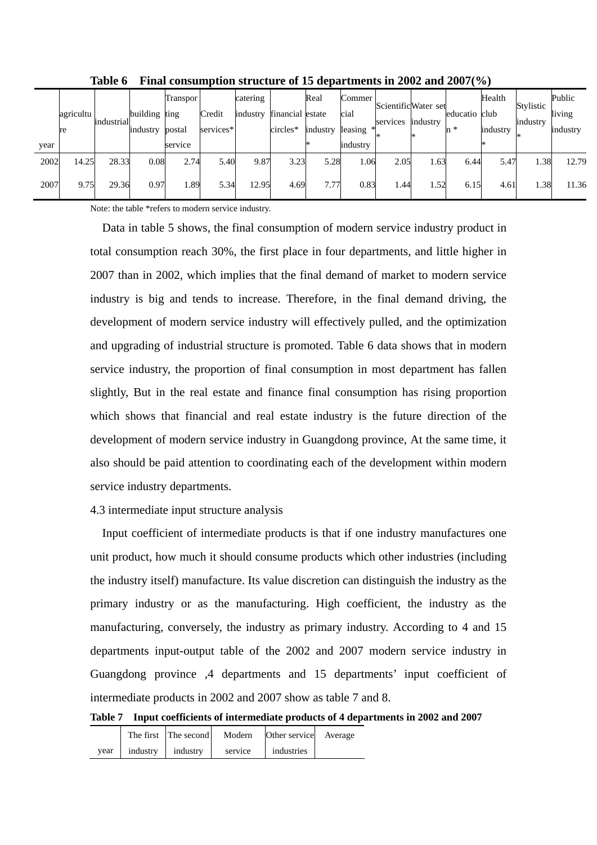|      | agricultu | industrial | building ting<br>industry | Transpor<br>postal | Credit<br>services* | catering<br>industry | financial estate<br>circles* | Real<br>industry | Commer<br>cial<br>leasing | ScientificWater set<br>services | industry | educatio<br>n * | Health<br>club<br>industry | Stylistic<br>industry | Public<br>living<br>industry |
|------|-----------|------------|---------------------------|--------------------|---------------------|----------------------|------------------------------|------------------|---------------------------|---------------------------------|----------|-----------------|----------------------------|-----------------------|------------------------------|
| year | re        |            |                           | service            |                     |                      |                              |                  | industry                  |                                 |          |                 |                            |                       |                              |
| 2002 | 14.25     | 28.33      | 0.08                      | 2.74               | 5.40                | 9.87                 | 3.23                         | 5.28             | 1.06                      | 2.05                            | 1.63     | 6.44            | 5.47                       | 1.38                  | 12.79                        |
| 2007 | 9.75      | 29.36      | 0.97                      | 1.89               | 5.34                | 12.95                | 4.69                         | 7.77             | 0.83                      | 1.44                            | 1.52     | 6.15            | 4.61                       | 1.38                  | 11.36                        |

**Table 6 Final consumption structure of 15 departments in 2002 and 2007(%)** 

Note: the table \*refers to modern service industry.

Data in table 5 shows, the final consumption of modern service industry product in total consumption reach 30%, the first place in four departments, and little higher in 2007 than in 2002, which implies that the final demand of market to modern service industry is big and tends to increase. Therefore, in the final demand driving, the development of modern service industry will effectively pulled, and the optimization and upgrading of industrial structure is promoted. Table 6 data shows that in modern service industry, the proportion of final consumption in most department has fallen slightly, But in the real estate and finance final consumption has rising proportion which shows that financial and real estate industry is the future direction of the development of modern service industry in Guangdong province, At the same time, it also should be paid attention to coordinating each of the development within modern service industry departments.

#### 4.3 intermediate input structure analysis

Input coefficient of intermediate products is that if one industry manufactures one unit product, how much it should consume products which other industries (including the industry itself) manufacture. Its value discretion can distinguish the industry as the primary industry or as the manufacturing. High coefficient, the industry as the manufacturing, conversely, the industry as primary industry. According to 4 and 15 departments input-output table of the 2002 and 2007 modern service industry in Guangdong province ,4 departments and 15 departments' input coefficient of intermediate products in 2002 and 2007 show as table 7 and 8.

**Table 7 Input coefficients of intermediate products of 4 departments in 2002 and 2007** 

|      |          | The first The second | Modern  | Other service Average |  |
|------|----------|----------------------|---------|-----------------------|--|
| vear | industry | industry             | service | industries            |  |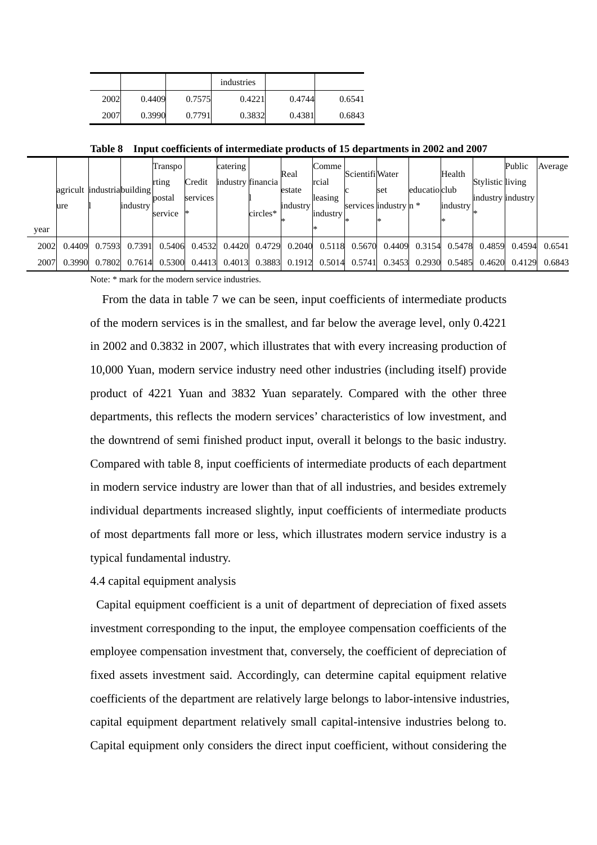|      |        |        | industries |        |        |
|------|--------|--------|------------|--------|--------|
| 2002 | 0.4409 | 0.7575 | 0.4221     | 0.4744 | 0.6541 |
| 2007 | 0.3990 | 0.7791 | 0.3832     | 0.4381 | 0.6843 |

**Table 8 Input coefficients of intermediate products of 15 departments in 2002 and 2007** 

| year | agricult industriabuilding<br>ure |        | <i>industry</i> | Transpo<br>rting<br>postal<br>service | Credit<br>services | catering | industry financia<br>circles* | Real<br>estate<br>industry | Comme  <br>rcial<br>leasing<br>industry | Scientifi Water<br>services industry n * | set    | educatio club | Health<br>industry | Stylistic living<br>industry industry | Public | Average |
|------|-----------------------------------|--------|-----------------|---------------------------------------|--------------------|----------|-------------------------------|----------------------------|-----------------------------------------|------------------------------------------|--------|---------------|--------------------|---------------------------------------|--------|---------|
| 2002 | 0.4409                            | 0.7593 | 0.7391          | 0.5406                                | 0.4532             | 0.4420   | 0.4729                        | 0.2040                     | 0.5118                                  | 0.5670                                   | 0.4409 | 0.3154        | 0.5478             | 0.4859                                | 0.4594 | 0.6541  |
| 2007 | 0.3990                            | 0.7802 | 0.7614          | 0.5300                                | 0.4413             | 0.4013   | 0.3883                        | 0.1912                     | 0.5014                                  | 0.5741                                   | 0.3453 | 0.2930        | 0.5485             | 0.4620                                | 0.4129 | 0.6843  |

Note: \* mark for the modern service industries.

From the data in table 7 we can be seen, input coefficients of intermediate products of the modern services is in the smallest, and far below the average level, only 0.4221 in 2002 and 0.3832 in 2007, which illustrates that with every increasing production of 10,000 Yuan, modern service industry need other industries (including itself) provide product of 4221 Yuan and 3832 Yuan separately. Compared with the other three departments, this reflects the modern services' characteristics of low investment, and the downtrend of semi finished product input, overall it belongs to the basic industry. Compared with table 8, input coefficients of intermediate products of each department in modern service industry are lower than that of all industries, and besides extremely individual departments increased slightly, input coefficients of intermediate products of most departments fall more or less, which illustrates modern service industry is a typical fundamental industry.

4.4 capital equipment analysis

Capital equipment coefficient is a unit of department of depreciation of fixed assets investment corresponding to the input, the employee compensation coefficients of the employee compensation investment that, conversely, the coefficient of depreciation of fixed assets investment said. Accordingly, can determine capital equipment relative coefficients of the department are relatively large belongs to labor-intensive industries, capital equipment department relatively small capital-intensive industries belong to. Capital equipment only considers the direct input coefficient, without considering the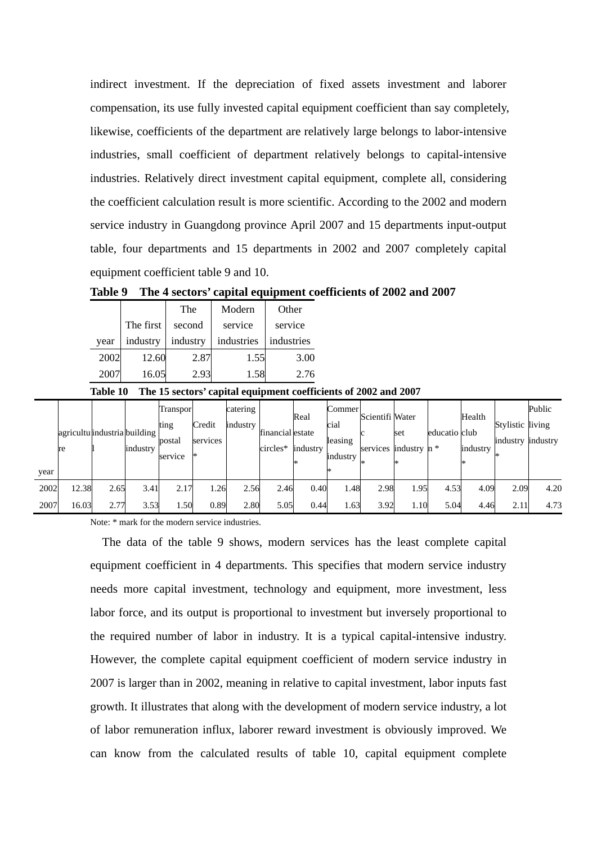indirect investment. If the depreciation of fixed assets investment and laborer compensation, its use fully invested capital equipment coefficient than say completely, likewise, coefficients of the department are relatively large belongs to labor-intensive industries, small coefficient of department relatively belongs to capital-intensive industries. Relatively direct investment capital equipment, complete all, considering the coefficient calculation result is more scientific. According to the 2002 and modern service industry in Guangdong province April 2007 and 15 departments input-output table, four departments and 15 departments in 2002 and 2007 completely capital equipment coefficient table 9 and 10.

**Table 9 The 4 sectors' capital equipment coefficients of 2002 and 2007** 

|      |           | The      | Modern     | Other      |
|------|-----------|----------|------------|------------|
|      | The first | second   | service    | service    |
| year | industry  | industry | industries | industries |
| 2002 | 12.60     | 2.87     | 1.55       | 3.00       |
| 2007 | 16.05     | 2.93     | 1.58       | 2.76       |

**Table 10 The 15 sectors' capital equipment coefficients of 2002 and 2007** 

|      | re    | agricultu industria building | industry | Transpor<br>ting<br>postal<br>service | Credit<br>services | catering<br>industry | financial estate<br>circles* | Real<br>industry | Commer<br>cial<br>leasing<br>industry | Scientifi Water<br>services industry $n *$ | set  | educatio club | Health<br>industry | Stylistic living<br>industry industry | Public |
|------|-------|------------------------------|----------|---------------------------------------|--------------------|----------------------|------------------------------|------------------|---------------------------------------|--------------------------------------------|------|---------------|--------------------|---------------------------------------|--------|
| year |       |                              |          |                                       |                    |                      |                              |                  |                                       |                                            |      |               |                    |                                       |        |
| 2002 | 12.38 | 2.65                         | 3.41     | 2.17                                  | .26                | 2.56                 | 2.46                         | 0.40             | 1.48                                  | 2.98                                       | 1.95 | 4.53          | 4.09               | 2.09                                  | 4.20   |
| 2007 | 16.03 | 2.77                         | 3.53     | .50                                   | 0.89               | 2.80                 | 5.05                         | 0.44             | 63                                    | 3.92                                       | 1.10 | 5.04          | 4.46               | 2.11                                  | 4.73   |

Note: \* mark for the modern service industries.

The data of the table 9 shows, modern services has the least complete capital equipment coefficient in 4 departments. This specifies that modern service industry needs more capital investment, technology and equipment, more investment, less labor force, and its output is proportional to investment but inversely proportional to the required number of labor in industry. It is a typical capital-intensive industry. However, the complete capital equipment coefficient of modern service industry in 2007 is larger than in 2002, meaning in relative to capital investment, labor inputs fast growth. It illustrates that along with the development of modern service industry, a lot of labor remuneration influx, laborer reward investment is obviously improved. We can know from the calculated results of table 10, capital equipment complete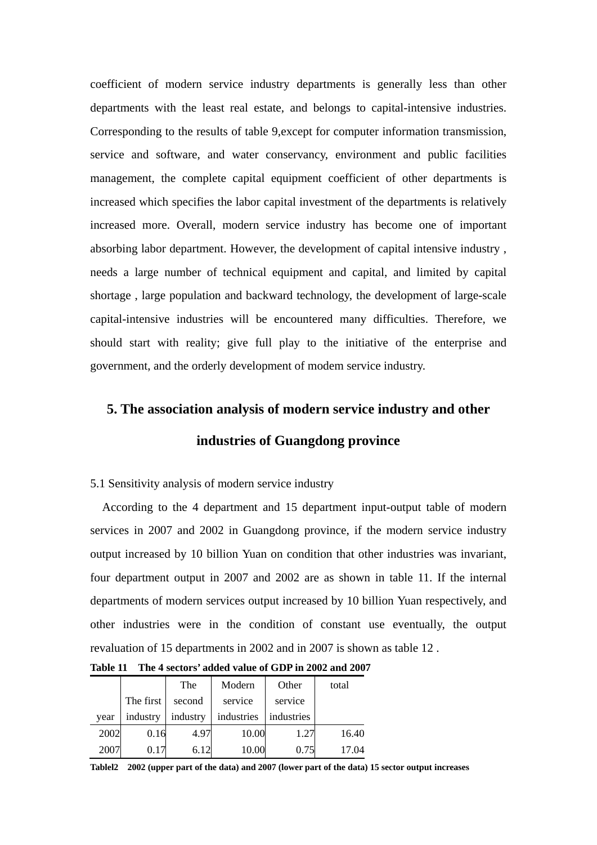coefficient of modern service industry departments is generally less than other departments with the least real estate, and belongs to capital-intensive industries. Corresponding to the results of table 9,except for computer information transmission, service and software, and water conservancy, environment and public facilities management, the complete capital equipment coefficient of other departments is increased which specifies the labor capital investment of the departments is relatively increased more. Overall, modern service industry has become one of important absorbing labor department. However, the development of capital intensive industry , needs a large number of technical equipment and capital, and limited by capital shortage , large population and backward technology, the development of large-scale capital-intensive industries will be encountered many difficulties. Therefore, we should start with reality; give full play to the initiative of the enterprise and government, and the orderly development of modem service industry.

#### **5. The association analysis of modern service industry and other**

### **industries of Guangdong province**

#### 5.1 Sensitivity analysis of modern service industry

According to the 4 department and 15 department input-output table of modern services in 2007 and 2002 in Guangdong province, if the modern service industry output increased by 10 billion Yuan on condition that other industries was invariant, four department output in 2007 and 2002 are as shown in table 11. If the internal departments of modern services output increased by 10 billion Yuan respectively, and other industries were in the condition of constant use eventually, the output revaluation of 15 departments in 2002 and in 2007 is shown as table 12 .

|      |           | The      | Modern     | Other      | total |
|------|-----------|----------|------------|------------|-------|
|      | The first | second   | service    | service    |       |
| year | industry  | industry | industries | industries |       |
| 2002 | 0.16      | 4.97     | 10.00      | 1.27       | 16.40 |
| 2007 | 0.17      | 6.12     | 10.00      | 0.75       | 17.04 |

**Table 11 The 4 sectors' added value of GDP in 2002 and 2007** 

**Tablel2 2002 (upper part of the data) and 2007 (lower part of the data) 15 sector output increases**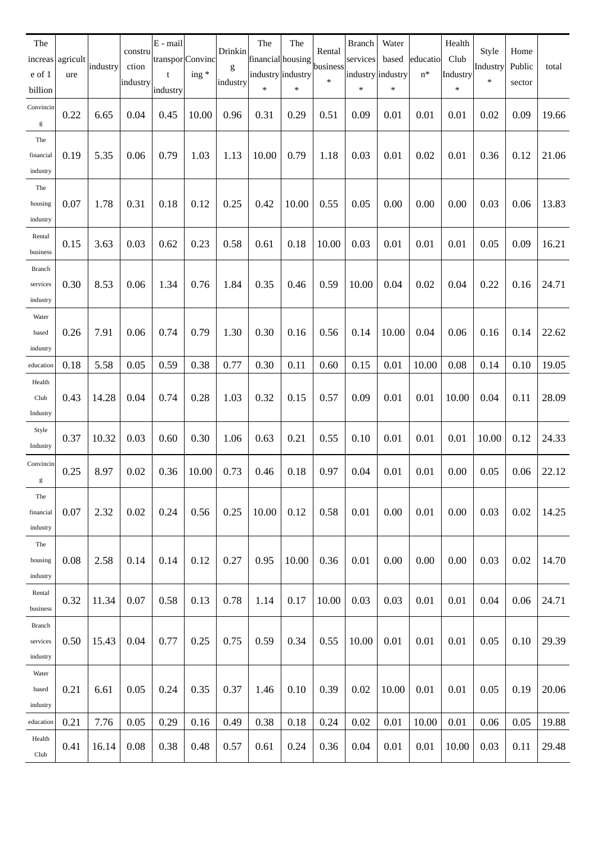| The<br>e of 1<br>billion       | increas agricult<br>ure | industry | constru<br>ction<br>industry | E - mail<br>transpor Convinc<br>t<br>industry | $ing *$ | Drinkin<br>g<br>industry | The<br>financial housing<br>industry industry<br>* | The<br>$\ast$ | Rental<br>business<br>$\ast$ | <b>Branch</b><br>services<br>industry industry<br>$\ast$ | Water<br>based<br>$\ast$ | educatio<br>$n^*$ | Health<br>Club<br>Industry<br>* | Style<br>Industry<br>$\ast$ | Home<br>Public<br>sector | total |
|--------------------------------|-------------------------|----------|------------------------------|-----------------------------------------------|---------|--------------------------|----------------------------------------------------|---------------|------------------------------|----------------------------------------------------------|--------------------------|-------------------|---------------------------------|-----------------------------|--------------------------|-------|
| Convincin<br>g                 | 0.22                    | 6.65     | 0.04                         | 0.45                                          | 10.00   | 0.96                     | 0.31                                               | 0.29          | 0.51                         | 0.09                                                     | 0.01                     | 0.01              | 0.01                            | 0.02                        | 0.09                     | 19.66 |
| The<br>financial<br>industry   | 0.19                    | 5.35     | 0.06                         | 0.79                                          | 1.03    | 1.13                     | 10.00                                              | 0.79          | 1.18                         | 0.03                                                     | 0.01                     | 0.02              | 0.01                            | 0.36                        | 0.12                     | 21.06 |
| The<br>housing<br>industry     | 0.07                    | 1.78     | 0.31                         | 0.18                                          | 0.12    | 0.25                     | 0.42                                               | 10.00         | 0.55                         | 0.05                                                     | 0.00                     | 0.00              | 0.00                            | 0.03                        | 0.06                     | 13.83 |
| Rental<br>business             | 0.15                    | 3.63     | 0.03                         | 0.62                                          | 0.23    | 0.58                     | 0.61                                               | 0.18          | 10.00                        | 0.03                                                     | 0.01                     | 0.01              | 0.01                            | 0.05                        | 0.09                     | 16.21 |
| Branch<br>services<br>industry | 0.30                    | 8.53     | 0.06                         | 1.34                                          | 0.76    | 1.84                     | 0.35                                               | 0.46          | 0.59                         | 10.00                                                    | 0.04                     | 0.02              | 0.04                            | 0.22                        | 0.16                     | 24.71 |
| Water<br>based<br>industry     | 0.26                    | 7.91     | 0.06                         | 0.74                                          | 0.79    | 1.30                     | 0.30                                               | 0.16          | 0.56                         | 0.14                                                     | 10.00                    | 0.04              | 0.06                            | 0.16                        | 0.14                     | 22.62 |
| education                      | 0.18                    | 5.58     | 0.05                         | 0.59                                          | 0.38    | 0.77                     | 0.30                                               | 0.11          | 0.60                         | 0.15                                                     | 0.01                     | 10.00             | 0.08                            | 0.14                        | 0.10                     | 19.05 |
| Health<br>Club<br>Industry     | 0.43                    | 14.28    | 0.04                         | 0.74                                          | 0.28    | 1.03                     | 0.32                                               | 0.15          | 0.57                         | 0.09                                                     | 0.01                     | 0.01              | 10.00                           | 0.04                        | 0.11                     | 28.09 |
| Style<br>Industry              | 0.37                    | 10.32    | 0.03                         | 0.60                                          | 0.30    | 1.06                     | 0.63                                               | 0.21          | 0.55                         | 0.10                                                     | 0.01                     | 0.01              | 0.01                            | 10.00                       | 0.12                     | 24.33 |
| Convincin<br>g                 | 0.25                    | 8.97     | 0.02                         | 0.36                                          | 10.00   | 0.73                     | 0.46                                               | 0.18          | 0.97                         | 0.04                                                     | 0.01                     | 0.01              | 0.00                            | 0.05                        | 0.06                     | 22.12 |
| The<br>financial<br>industry   | 0.07                    | 2.32     | 0.02                         | 0.24                                          | 0.56    | 0.25                     | 10.00                                              | 0.12          | 0.58                         | 0.01                                                     | 0.00                     | 0.01              | 0.00                            | 0.03                        | 0.02                     | 14.25 |
| The<br>housing<br>industry     | 0.08                    | 2.58     | 0.14                         | 0.14                                          | 0.12    | 0.27                     | 0.95                                               | 10.00         | 0.36                         | 0.01                                                     | 0.00                     | 0.00              | 0.00                            | 0.03                        | 0.02                     | 14.70 |
| Rental<br>business             | 0.32                    | 11.34    | 0.07                         | 0.58                                          | 0.13    | 0.78                     | 1.14                                               | 0.17          | 10.00                        | 0.03                                                     | 0.03                     | 0.01              | 0.01                            | 0.04                        | 0.06                     | 24.71 |
| Branch<br>services<br>industry | 0.50                    | 15.43    | 0.04                         | 0.77                                          | 0.25    | 0.75                     | 0.59                                               | 0.34          | 0.55                         | 10.00                                                    | 0.01                     | 0.01              | 0.01                            | 0.05                        | 0.10                     | 29.39 |
| Water<br>based<br>industry     | 0.21                    | 6.61     | 0.05                         | 0.24                                          | 0.35    | 0.37                     | 1.46                                               | 0.10          | 0.39                         | 0.02                                                     | 10.00                    | 0.01              | 0.01                            | 0.05                        | 0.19                     | 20.06 |
| education                      | 0.21                    | 7.76     | 0.05                         | 0.29                                          | 0.16    | 0.49                     | 0.38                                               | 0.18          | 0.24                         | 0.02                                                     | 0.01                     | 10.00             | 0.01                            | 0.06                        | 0.05                     | 19.88 |
| Health<br>Club                 | 0.41                    | 16.14    | 0.08                         | 0.38                                          | 0.48    | 0.57                     | 0.61                                               | 0.24          | 0.36                         | 0.04                                                     | 0.01                     | 0.01              | 10.00                           | 0.03                        | 0.11                     | 29.48 |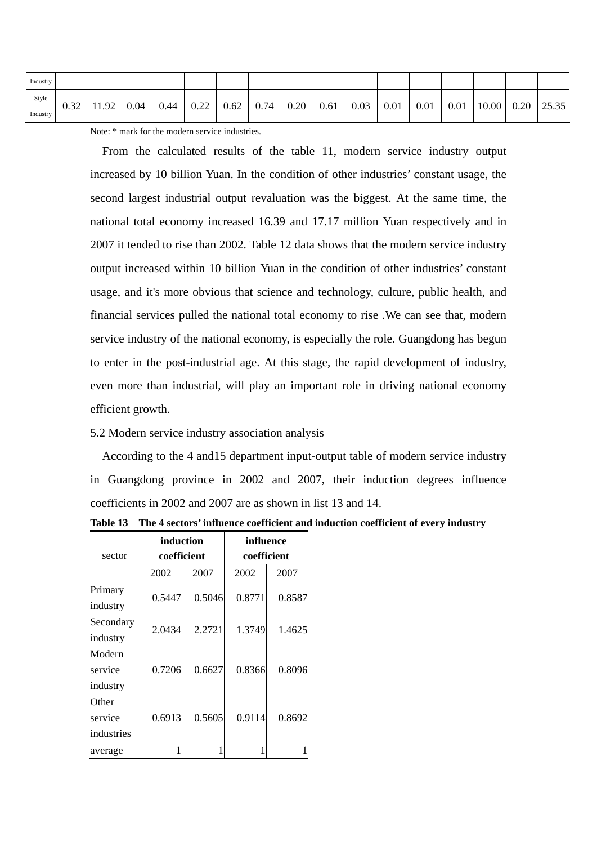| Industry |      |       |      |      |      |      |      |      |      |      |      |      |      |       |      |       |
|----------|------|-------|------|------|------|------|------|------|------|------|------|------|------|-------|------|-------|
| Style    | 0.32 | 11.92 | 0.04 | 0.44 | 0.22 | 0.62 | 0.74 | 0.20 | 0.61 | 0.03 | 0.01 | 0.01 | 0.01 | 10.00 | 0.20 | 25.35 |
| Industry |      |       |      |      |      |      |      |      |      |      |      |      |      |       |      |       |

Note: \* mark for the modern service industries.

From the calculated results of the table 11, modern service industry output increased by 10 billion Yuan. In the condition of other industries' constant usage, the second largest industrial output revaluation was the biggest. At the same time, the national total economy increased 16.39 and 17.17 million Yuan respectively and in 2007 it tended to rise than 2002. Table 12 data shows that the modern service industry output increased within 10 billion Yuan in the condition of other industries' constant usage, and it's more obvious that science and technology, culture, public health, and financial services pulled the national total economy to rise .We can see that, modern service industry of the national economy, is especially the role. Guangdong has begun to enter in the post-industrial age. At this stage, the rapid development of industry, even more than industrial, will play an important role in driving national economy efficient growth.

#### 5.2 Modern service industry association analysis

According to the 4 and15 department input-output table of modern service industry in Guangdong province in 2002 and 2007, their induction degrees influence coefficients in 2002 and 2007 are as shown in list 13 and 14.

|            | induction   |        | influence   |        |  |  |  |
|------------|-------------|--------|-------------|--------|--|--|--|
| sector     | coefficient |        | coefficient |        |  |  |  |
|            | 2002        | 2007   | 2002        | 2007   |  |  |  |
| Primary    | 0.5447      | 0.5046 | 0.8771      |        |  |  |  |
| industry   |             |        |             | 0.8587 |  |  |  |
| Secondary  | 2.0434      | 2.2721 | 1.3749      | 1.4625 |  |  |  |
| industry   |             |        |             |        |  |  |  |
| Modern     |             |        |             |        |  |  |  |
| service    | 0.7206      | 0.6627 | 0.8366      | 0.8096 |  |  |  |
| industry   |             |        |             |        |  |  |  |
| Other      |             |        |             |        |  |  |  |
| service    | 0.6913      | 0.5605 | 0.9114      | 0.8692 |  |  |  |
| industries |             |        |             |        |  |  |  |
| average    |             |        |             |        |  |  |  |

**Table 13 The 4 sectors' influence coefficient and induction coefficient of every industry**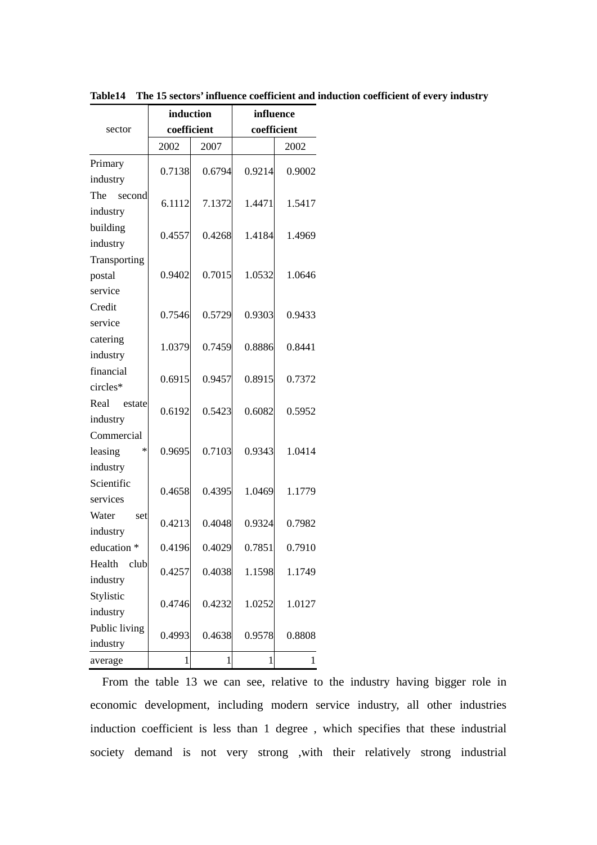|                                             | induction   |        | influence   |        |  |  |  |
|---------------------------------------------|-------------|--------|-------------|--------|--|--|--|
| sector                                      | coefficient |        | coefficient |        |  |  |  |
|                                             | 2002        | 2007   |             | 2002   |  |  |  |
| Primary<br>industry                         | 0.7138      | 0.6794 | 0.9214      | 0.9002 |  |  |  |
| The<br>second<br>industry                   | 6.1112      | 7.1372 | 1.4471      | 1.5417 |  |  |  |
| building<br>industry                        | 0.4557      | 0.4268 | 1.4184      | 1.4969 |  |  |  |
| Transporting<br>postal<br>service           | 0.9402      | 0.7015 | 1.0532      | 1.0646 |  |  |  |
| Credit<br>service                           | 0.7546      | 0.5729 | 0.9303      | 0.9433 |  |  |  |
| catering<br>industry                        | 1.0379      | 0.7459 | 0.8886      | 0.8441 |  |  |  |
| financial<br>circles*                       | 0.6915      | 0.9457 | 0.8915      | 0.7372 |  |  |  |
| Real<br>estate<br>industry                  | 0.6192      | 0.5423 | 0.6082      | 0.5952 |  |  |  |
| Commercial<br>leasing<br>$\ast$<br>industry | 0.9695      | 0.7103 | 0.9343      | 1.0414 |  |  |  |
| Scientific<br>services                      | 0.4658      | 0.4395 | 1.0469      | 1.1779 |  |  |  |
| Water<br>set<br>industry                    | 0.4213      | 0.4048 | 0.9324      | 0.7982 |  |  |  |
| education *                                 | 0.4196      | 0.4029 | 0.7851      | 0.7910 |  |  |  |
| Health<br>club<br>industry                  | 0.4257      | 0.4038 | 1.1598      | 1.1749 |  |  |  |
| Stylistic<br>industry                       | 0.4746      | 0.4232 | 1.0252      | 1.0127 |  |  |  |
| Public living<br>industry                   | 0.4993      | 0.4638 | 0.9578      | 0.8808 |  |  |  |
| average                                     | 1           | 1      | 1           | 1      |  |  |  |

**Table14 The 15 sectors' influence coefficient and induction coefficient of every industry**

From the table 13 we can see, relative to the industry having bigger role in economic development, including modern service industry, all other industries induction coefficient is less than 1 degree , which specifies that these industrial society demand is not very strong ,with their relatively strong industrial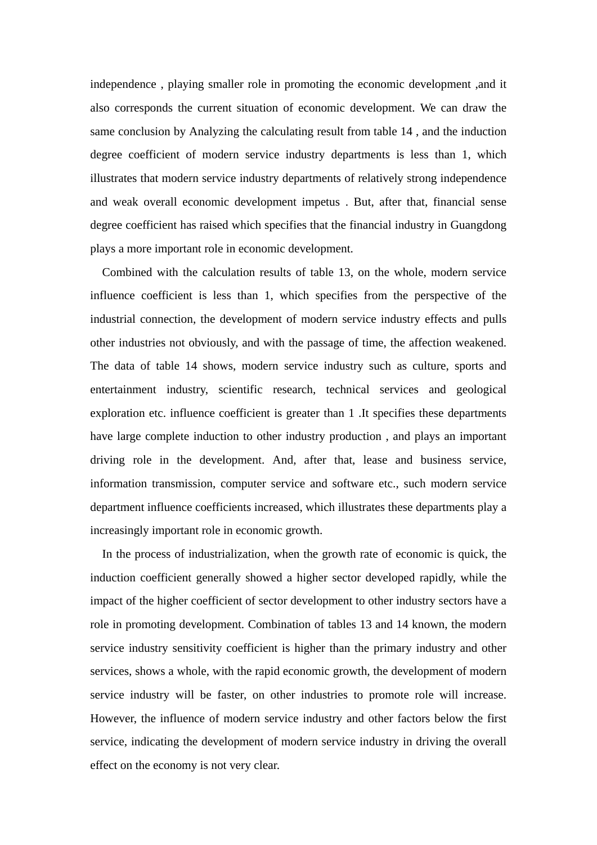independence , playing smaller role in promoting the economic development ,and it also corresponds the current situation of economic development. We can draw the same conclusion by Analyzing the calculating result from table 14 , and the induction degree coefficient of modern service industry departments is less than 1, which illustrates that modern service industry departments of relatively strong independence and weak overall economic development impetus . But, after that, financial sense degree coefficient has raised which specifies that the financial industry in Guangdong plays a more important role in economic development.

Combined with the calculation results of table 13, on the whole, modern service influence coefficient is less than 1, which specifies from the perspective of the industrial connection, the development of modern service industry effects and pulls other industries not obviously, and with the passage of time, the affection weakened. The data of table 14 shows, modern service industry such as culture, sports and entertainment industry, scientific research, technical services and geological exploration etc. influence coefficient is greater than 1 .It specifies these departments have large complete induction to other industry production , and plays an important driving role in the development. And, after that, lease and business service, information transmission, computer service and software etc., such modern service department influence coefficients increased, which illustrates these departments play a increasingly important role in economic growth.

In the process of industrialization, when the growth rate of economic is quick, the induction coefficient generally showed a higher sector developed rapidly, while the impact of the higher coefficient of sector development to other industry sectors have a role in promoting development. Combination of tables 13 and 14 known, the modern service industry sensitivity coefficient is higher than the primary industry and other services, shows a whole, with the rapid economic growth, the development of modern service industry will be faster, on other industries to promote role will increase. However, the influence of modern service industry and other factors below the first service, indicating the development of modern service industry in driving the overall effect on the economy is not very clear.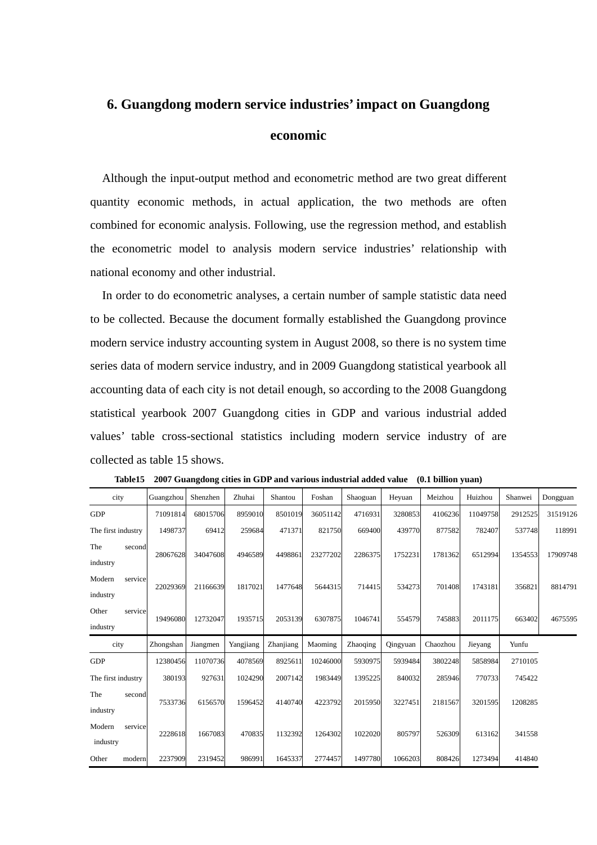## **6. Guangdong modern service industries' impact on Guangdong economic**

Although the input-output method and econometric method are two great different quantity economic methods, in actual application, the two methods are often combined for economic analysis. Following, use the regression method, and establish the econometric model to analysis modern service industries' relationship with national economy and other industrial.

In order to do econometric analyses, a certain number of sample statistic data need to be collected. Because the document formally established the Guangdong province modern service industry accounting system in August 2008, so there is no system time series data of modern service industry, and in 2009 Guangdong statistical yearbook all accounting data of each city is not detail enough, so according to the 2008 Guangdong statistical yearbook 2007 Guangdong cities in GDP and various industrial added values' table cross-sectional statistics including modern service industry of are collected as table 15 shows.

| city                          | Guangzhou | Shenzhen | Zhuhai    | Shantou   | Foshan   | Shaoguan | Heyuan   | Meizhou  | Huizhou  | Shanwei | Dongguan |
|-------------------------------|-----------|----------|-----------|-----------|----------|----------|----------|----------|----------|---------|----------|
| <b>GDP</b>                    | 71091814  | 68015706 | 8959010   | 8501019   | 36051142 | 4716931  | 3280853  | 4106236  | 11049758 | 2912525 | 31519126 |
| The first industry            | 1498737   | 69412    | 259684    | 471371    | 821750   | 669400   | 439770   | 877582   | 782407   | 537748  | 118991   |
| The<br>second<br>industry     | 28067628  | 34047608 | 4946589   | 4498861   | 23277202 | 2286375  | 1752231  | 1781362  | 6512994  | 1354553 | 17909748 |
| Modern<br>service<br>industry | 22029369  | 21166639 | 1817021   | 1477648   | 5644315  | 714415   | 534273   | 701408   | 1743181  | 356821  | 8814791  |
| Other<br>service<br>industry  | 19496080  | 12732047 | 1935715   | 2053139   | 6307875  | 1046741  | 554579   | 745883   | 2011175  | 663402  | 4675595  |
| city                          | Zhongshan | Jiangmen | Yangjiang | Zhanjiang | Maoming  | Zhaoqing | Qingyuan | Chaozhou | Jieyang  | Yunfu   |          |
| <b>GDP</b>                    | 12380456  | 11070736 | 4078569   | 8925611   | 10246000 | 5930975  | 5939484  | 3802248  | 5858984  | 2710105 |          |
| The first industry            | 380193    | 927631   | 1024290   | 2007142   | 1983449  | 1395225  | 840032   | 285946   | 770733   | 745422  |          |
| The<br>second<br>industry     | 7533736   | 6156570  | 1596452   | 4140740   | 4223792  | 2015950  | 3227451  | 2181567  | 3201595  | 1208285 |          |
| Modern<br>service<br>industry | 2228618   | 1667083  | 470835    | 1132392   | 1264302  | 1022020  | 805797   | 526309   | 613162   | 341558  |          |
| Other<br>modern               | 2237909   | 2319452  | 986991    | 1645337   | 2774457  | 1497780  | 1066203  | 808426   | 1273494  | 414840  |          |

**Table15 2007 Guangdong cities in GDP and various industrial added value (0.1 billion yuan)**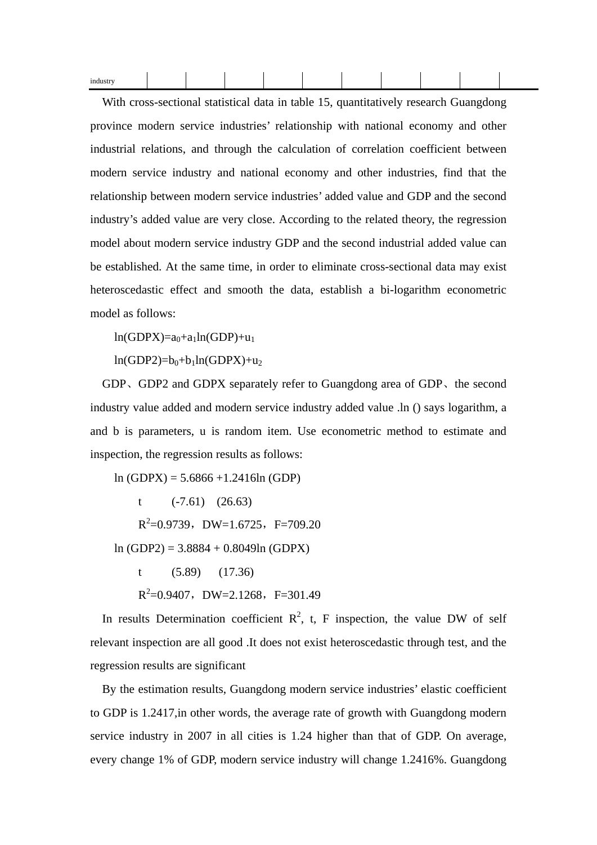| $- - -$ |  |  |  |  |  |
|---------|--|--|--|--|--|
|         |  |  |  |  |  |

With cross-sectional statistical data in table 15, quantitatively research Guangdong province modern service industries' relationship with national economy and other industrial relations, and through the calculation of correlation coefficient between modern service industry and national economy and other industries, find that the relationship between modern service industries' added value and GDP and the second industry's added value are very close. According to the related theory, the regression model about modern service industry GDP and the second industrial added value can be established. At the same time, in order to eliminate cross-sectional data may exist heteroscedastic effect and smooth the data, establish a bi-logarithm econometric model as follows:

 $ln(GDPX)=a_0+a_1ln(GDP)+u_1$ 

 $ln(GDP2)=b_0+b_1ln(GDPX)+u_2$ 

GDP. GDP2 and GDPX separately refer to Guangdong area of GDP. the second industry value added and modern service industry added value .ln () says logarithm, a and b is parameters, u is random item. Use econometric method to estimate and inspection, the regression results as follows:

ln (GDPX) = 5.6866 +1.2416ln (GDP)

t  $(-7.61)$   $(26.63)$  $R^2 = 0.9739$ , DW=1.6725, F=709.20 ln (GDP2) = 3.8884 + 0.8049ln (GDPX) t (5.89) (17.36)  $R^2 = 0.9407$ , DW=2.1268, F=301.49

In results Determination coefficient  $\mathbb{R}^2$ , t, F inspection, the value DW of self relevant inspection are all good .It does not exist heteroscedastic through test, and the regression results are significant

By the estimation results, Guangdong modern service industries' elastic coefficient to GDP is 1.2417,in other words, the average rate of growth with Guangdong modern service industry in 2007 in all cities is 1.24 higher than that of GDP. On average, every change 1% of GDP, modern service industry will change 1.2416%. Guangdong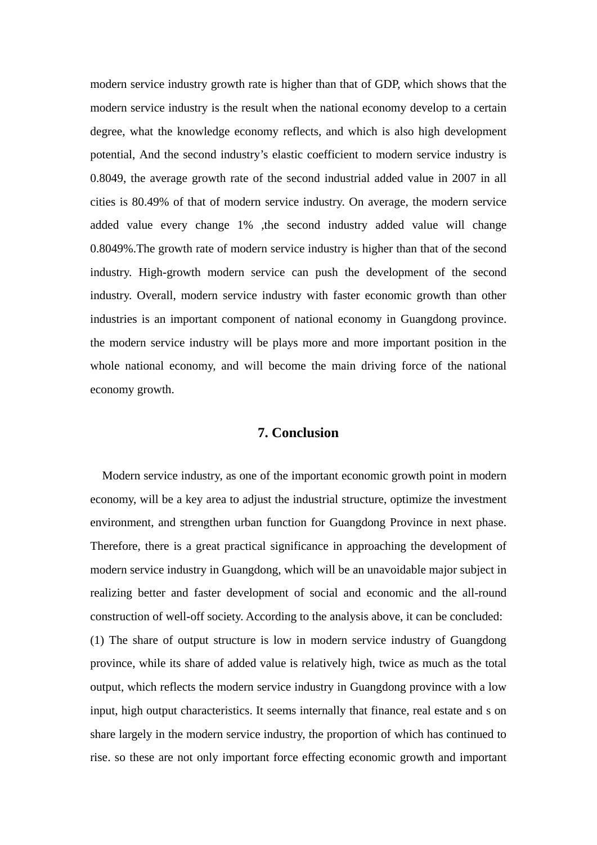modern service industry growth rate is higher than that of GDP, which shows that the modern service industry is the result when the national economy develop to a certain degree, what the knowledge economy reflects, and which is also high development potential, And the second industry's elastic coefficient to modern service industry is 0.8049, the average growth rate of the second industrial added value in 2007 in all cities is 80.49% of that of modern service industry. On average, the modern service added value every change 1% ,the second industry added value will change 0.8049%.The growth rate of modern service industry is higher than that of the second industry. High-growth modern service can push the development of the second industry. Overall, modern service industry with faster economic growth than other industries is an important component of national economy in Guangdong province. the modern service industry will be plays more and more important position in the whole national economy, and will become the main driving force of the national economy growth.

## **7. Conclusion**

Modern service industry, as one of the important economic growth point in modern economy, will be a key area to adjust the industrial structure, optimize the investment environment, and strengthen urban function for Guangdong Province in next phase. Therefore, there is a great practical significance in approaching the development of modern service industry in Guangdong, which will be an unavoidable major subject in realizing better and faster development of social and economic and the all-round construction of well-off society. According to the analysis above, it can be concluded: (1) The share of output structure is low in modern service industry of Guangdong province, while its share of added value is relatively high, twice as much as the total output, which reflects the modern service industry in Guangdong province with a low input, high output characteristics. It seems internally that finance, real estate and s on share largely in the modern service industry, the proportion of which has continued to rise. so these are not only important force effecting economic growth and important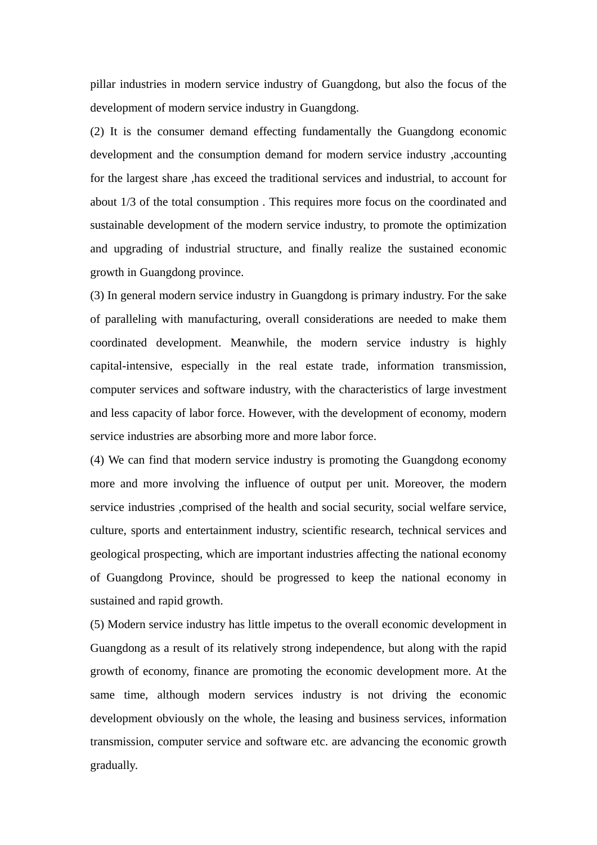pillar industries in modern service industry of Guangdong, but also the focus of the development of modern service industry in Guangdong.

(2) It is the consumer demand effecting fundamentally the Guangdong economic development and the consumption demand for modern service industry ,accounting for the largest share ,has exceed the traditional services and industrial, to account for about 1/3 of the total consumption . This requires more focus on the coordinated and sustainable development of the modern service industry, to promote the optimization and upgrading of industrial structure, and finally realize the sustained economic growth in Guangdong province.

(3) In general modern service industry in Guangdong is primary industry. For the sake of paralleling with manufacturing, overall considerations are needed to make them coordinated development. Meanwhile, the modern service industry is highly capital-intensive, especially in the real estate trade, information transmission, computer services and software industry, with the characteristics of large investment and less capacity of labor force. However, with the development of economy, modern service industries are absorbing more and more labor force.

(4) We can find that modern service industry is promoting the Guangdong economy more and more involving the influence of output per unit. Moreover, the modern service industries ,comprised of the health and social security, social welfare service, culture, sports and entertainment industry, scientific research, technical services and geological prospecting, which are important industries affecting the national economy of Guangdong Province, should be progressed to keep the national economy in sustained and rapid growth.

(5) Modern service industry has little impetus to the overall economic development in Guangdong as a result of its relatively strong independence, but along with the rapid growth of economy, finance are promoting the economic development more. At the same time, although modern services industry is not driving the economic development obviously on the whole, the leasing and business services, information transmission, computer service and software etc. are advancing the economic growth gradually.